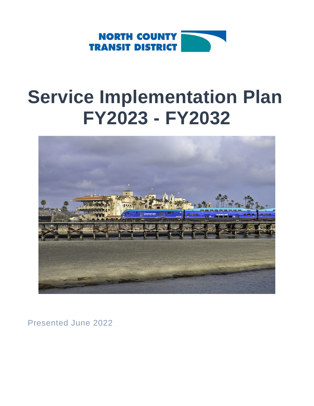

# **Service Implementation Plan FY2023 - FY2032**



Presented June 2022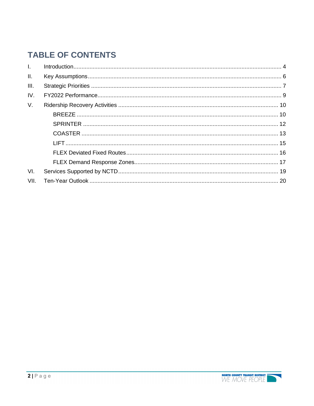# **TABLE OF CONTENTS**

| $\mathbf{L}$ |  |
|--------------|--|
| II.          |  |
| III.         |  |
| IV.          |  |
| $V_{\cdot}$  |  |
|              |  |
|              |  |
|              |  |
|              |  |
|              |  |
|              |  |
| VI.          |  |
| VII.         |  |
|              |  |

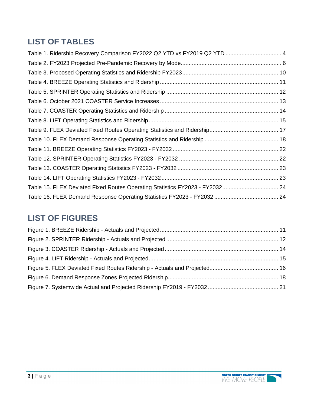# **LIST OF TABLES**

| Table 1. Ridership Recovery Comparison FY2022 Q2 YTD vs FY2019 Q2 YTD  4     |  |
|------------------------------------------------------------------------------|--|
|                                                                              |  |
|                                                                              |  |
|                                                                              |  |
|                                                                              |  |
|                                                                              |  |
|                                                                              |  |
|                                                                              |  |
|                                                                              |  |
|                                                                              |  |
|                                                                              |  |
|                                                                              |  |
|                                                                              |  |
|                                                                              |  |
| Table 15. FLEX Deviated Fixed Routes Operating Statistics FY2023 - FY2032 24 |  |
|                                                                              |  |

# **LIST OF FIGURES**

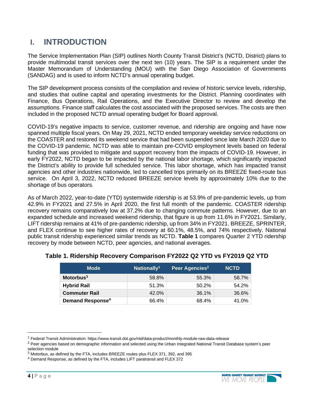### **I. INTRODUCTION**

The Service Implementation Plan (SIP) outlines North County Transit District's (NCTD, District) plans to provide multimodal transit services over the next ten (10) years. The SIP is a requirement under the Master Memorandum of Understanding (MOU) with the San Diego Association of Governments (SANDAG) and is used to inform NCTD's annual operating budget.

The SIP development process consists of the compilation and review of historic service levels, ridership, and studies that outline capital and operating investments for the District. Planning coordinates with Finance, Bus Operations, Rail Operations, and the Executive Director to review and develop the assumptions. Finance staff calculates the cost associated with the proposed services. The costs are then included in the proposed NCTD annual operating budget for Board approval.

COVID-19's negative impacts to service, customer revenue, and ridership are ongoing and have now spanned multiple fiscal years. On May 29, 2021, NCTD ended temporary weekday service reductions on the COASTER and restored its weekend service that had been suspended since late March 2020 due to the COVID-19 pandemic. NCTD was able to maintain pre-COVID employment levels based on federal funding that was provided to mitigate and support recovery from the impacts of COVID-19. However, in early FY2022, NCTD began to be impacted by the national labor shortage, which significantly impacted the District's ability to provide full scheduled service. This labor shortage, which has impacted transit agencies and other industries nationwide, led to cancelled trips primarily on its BREEZE fixed-route bus service. On April 3, 2022, NCTD reduced BREEZE service levels by approximately 10% due to the shortage of bus operators.

As of March 2022, year-to-date (YTD) systemwide ridership is at 53.9% of pre-pandemic levels, up from 42.9% in FY2021 and 27.5% in April 2020, the first full month of the pandemic. COASTER ridership recovery remains comparatively low at 37.2% due to changing commute patterns. However, due to an expanded schedule and increased weekend ridership, that figure is up from 11.6% in FY2021. Similarly, LIFT ridership remains at 41% of pre-pandemic ridership, up from 34% in FY2021. BREEZE, SPRINTER, and FLEX continue to see higher rates of recovery at 60.1%, 48.5%, and 74% respectively. National public transit ridership experienced similar trends as NCTD. **Table 1** compares Quarter 2 YTD ridership recovery by mode between NCTD, peer agencies, and national averages.

| Mode                               | Nationally <sup>1</sup> | Peer Agencies <sup>2</sup> | <b>NCTD</b> |
|------------------------------------|-------------------------|----------------------------|-------------|
| $Motorbus3$                        | 58.8%                   | 55.3%                      | 58.7%       |
| <b>Hybrid Rail</b>                 | 51.3%                   | 50.2%                      | 54.2%       |
| <b>Commuter Rail</b>               | 42.0%                   | 36.1%                      | 36.6%       |
| <b>Demand Response<sup>4</sup></b> | 66.4%                   | 68.4%                      | 41.0%       |

#### **Table 1. Ridership Recovery Comparison FY2022 Q2 YTD vs FY2019 Q2 YTD**



<sup>1</sup> Federal Transit Administration: https://www.transit.dot.gov/ntd/data-product/monthly-module-raw-data-release

<sup>&</sup>lt;sup>2</sup> Peer agencies based on demographic information and selected using the Urban Integrated National Transit Database system's peer selection module

<sup>3</sup> Motorbus, as defined by the FTA, includes BREEZE routes plus FLEX 371, 392, and 395

<sup>4</sup> Demand Response, as defined by the FTA, includes LIFT paratransit and FLEX 372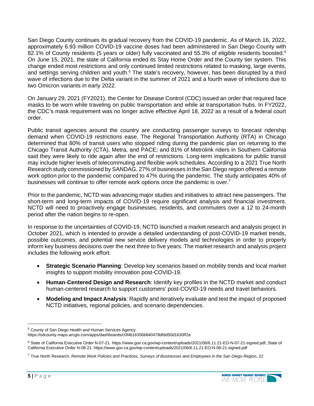San Diego County continues its gradual recovery from the COVID-19 pandemic. As of March 16, 2022, approximately 6.93 million COVID-19 vaccine doses had been administered in San Diego County with 82.1% of County residents (5 years or older) fully vaccinated and 55.3% of eligible residents boosted.<sup>5</sup> On June 15, 2021, the state of California ended its Stay Home Order and the County tier system. This change ended most restrictions and only continued limited restrictions related to masking, large events, and settings serving children and youth.<sup>6</sup> The state's recovery, however, has been disrupted by a third wave of infections due to the Delta variant in the summer of 2021 and a fourth wave of infections due to two Omicron variants in early 2022.

On January 29, 2021 (FY2021), the Center for Disease Control (CDC) issued an order that required face masks to be worn while traveling on public transportation and while at transportation hubs. In FY2022, the CDC's mask requirement was no longer active effective April 18, 2022 as a result of a federal court order.

Public transit agencies around the country are conducting passenger surveys to forecast ridership demand when COVID-19 restrictions ease. The Regional Transportation Authority (RTA) in Chicago determined that 80% of transit users who stopped riding during the pandemic plan on returning to the Chicago Transit Authority (CTA), Metra, and PACE; and 81% of Metrolink riders in Southern California said they were likely to ride again after the end of restrictions. Long-term implications for public transit may include higher levels of telecommuting and flexible work schedules. According to a 2021 True North Research study commissioned by SANDAG, 27% of businesses in the San Diego region offered a remote work option prior to the pandemic compared to 47% during the pandemic. The study anticipates 40% of businesses will continue to offer remote work options once the pandemic is over.<sup>7</sup>

Prior to the pandemic, NCTD was advancing major studies and initiatives to attract new passengers. The short-term and long-term impacts of COVID-19 require significant analysis and financial investment. NCTD will need to proactively engage businesses, residents, and commuters over a 12 to 24-month period after the nation begins to re-open.

In response to the uncertainties of COVID-19, NCTD launched a market research and analysis project in October 2021, which is intended to provide a detailed understanding of post-COVID-19 market trends, possible outcomes, and potential new service delivery models and technologies in order to properly inform key business decisions over the next three to five years. The market research and analysis project includes the following work effort:

- **Strategic Scenario Planning**: Develop key scenarios based on mobility trends and local market insights to support mobility innovation post-COVID-19.
- **Human**-**Centered Design and Research**: Identify key profiles in the NCTD market and conduct human-centered research to support customers' post-COVID-19 needs and travel behaviors.
- **Modeling and Impact Analysis**: Rapidly and iteratively evaluate and test the impact of proposed NCTD initiatives, regional policies, and scenario dependencies.

<sup>7</sup> True North Research, *Remote Work Policies and Practices, Surveys of Businesses and Employees in the San Diego Region*, 22



<sup>5</sup> County of San Diego Health and Human Services Agency.

https://sdcounty.maps.arcgis.com/apps/dashboards/c0f4b16356b840478dfdd50d1630ff2a

<sup>&</sup>lt;sup>6</sup> State of California Executive Order N-07-21. https://www.gov.ca.gov/wp-content/uploads/2021/06/6.11.21-EO-N-07-21-signed.pdf; State of California Executive Order N-08-21. https://www.gov.ca.gov/wp-content/uploads/2021/06/6.11.21-EO-N-08-21-signed.pdf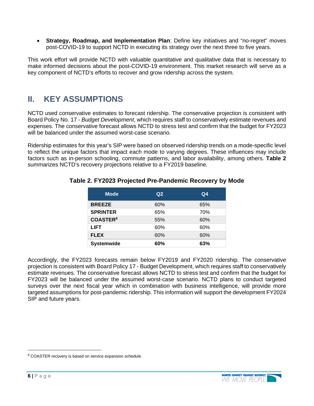**Strategy, Roadmap, and Implementation Plan**: Define key initiatives and "no-regret" moves post-COVID-19 to support NCTD in executing its strategy over the next three to five years.

This work effort will provide NCTD with valuable quantitative and qualitative data that is necessary to make informed decisions about the post-COVID-19 environment. This market research will serve as a key component of NCTD's efforts to recover and grow ridership across the system.

# **II. KEY ASSUMPTIONS**

NCTD used conservative estimates to forecast ridership. The conservative projection is consistent with Board Policy No. 17 - *Budget Development*, which requires staff to conservatively estimate revenues and expenses. The conservative forecast allows NCTD to stress test and confirm that the budget for FY2023 will be balanced under the assumed worst-case scenario.

Ridership estimates for this year's SIP were based on observed ridership trends on a mode-specific level to reflect the unique factors that impact each mode to varying degrees. These influences may include factors such as in-person schooling, commute patterns, and labor availability, among others. **Table 2** summarizes NCTD's recovery projections relative to a FY2019 baseline.

| <b>Mode</b>                | Q <sub>2</sub> | Q <sub>4</sub> |
|----------------------------|----------------|----------------|
| <b>BREEZE</b>              | 60%            | 65%            |
| <b>SPRINTER</b>            | 65%            | 70%            |
| <b>COASTER<sup>8</sup></b> | 55%            | 60%            |
| <b>LIFT</b>                | 60%            | 60%            |
| <b>FLEX</b>                | 60%            | 60%            |
| <b>Systemwide</b>          | 60%            | 63%            |

#### **Table 2. FY2023 Projected Pre-Pandemic Recovery by Mode**

Accordingly, the FY2023 forecasts remain below FY2019 and FY2020 ridership. The conservative projection is consistent with Board Policy 17 - Budget Development, which requires staff to conservatively estimate revenues. The conservative forecast allows NCTD to stress test and confirm that the budget for FY2023 will be balanced under the assumed worst-case scenario. NCTD plans to conduct targeted surveys over the next fiscal year which in combination with business intelligence, will provide more targeted assumptions for post-pandemic ridership. This information will support the development FY2024 SIP and future years.



<sup>&</sup>lt;sup>8</sup> COASTER recovery is based on service expansion schedule.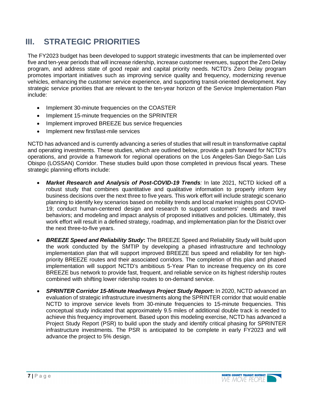# **III. STRATEGIC PRIORITIES**

The FY2023 budget has been developed to support strategic investments that can be implemented over five and ten-year periods that will increase ridership, increase customer revenues, support the Zero Delay program, and address state of good repair and capital priority needs. NCTD's Zero Delay program promotes important initiatives such as improving service quality and frequency, modernizing revenue vehicles, enhancing the customer service experience, and supporting transit-oriented development. Key strategic service priorities that are relevant to the ten-year horizon of the Service Implementation Plan include:

- Implement 30-minute frequencies on the COASTER
- Implement 15-minute frequencies on the SPRINTER
- Implement improved BREEZE bus service frequencies
- Implement new first/last-mile services

NCTD has advanced and is currently advancing a series of studies that will result in transformative capital and operating investments. These studies, which are outlined below, provide a path forward for NCTD's operations, and provide a framework for regional operations on the Los Angeles-San Diego-San Luis Obispo (LOSSAN) Corridor. These studies build upon those completed in previous fiscal years. These strategic planning efforts include:

- *Market Research and Analysis of Post-COVID-19 Trends:* In late 2021, NCTD kicked off a robust study that combines quantitative and qualitative information to properly inform key business decisions over the next three to five years. This work effort will include strategic scenario planning to identify key scenarios based on mobility trends and local market insights post COVID-19; conduct human-centered design and research to support customers' needs and travel behaviors; and modeling and impact analysis of proposed initiatives and policies. Ultimately, this work effort will result in a defined strategy, roadmap, and implementation plan for the District over the next three-to-five years.
- *BREEZE Speed and Reliability Study***:** The BREEZE Speed and Reliability Study will build upon the work conducted by the SMTIP by developing a phased infrastructure and technology implementation plan that will support improved BREEZE bus speed and reliability for ten highpriority BREEZE routes and their associated corridors. The completion of this plan and phased implementation will support NCTD's ambitious 5-Year Plan to increase frequency on its core BREEZE bus network to provide fast, frequent, and reliable service on its highest ridership routes combined with shifting lower ridership routes to on-demand service.
- *SPRINTER Corridor 15-Minute Headways Project Study Report***:** In 2020, NCTD advanced an evaluation of strategic infrastructure investments along the SPRINTER corridor that would enable NCTD to improve service levels from 30-minute frequencies to 15-minute frequencies. This conceptual study indicated that approximately 9.5 miles of additional double track is needed to achieve this frequency improvement. Based upon this modeling exercise, NCTD has advanced a Project Study Report (PSR) to build upon the study and identify critical phasing for SPRINTER infrastructure investments. The PSR is anticipated to be complete in early FY2023 and will advance the project to 5% design.

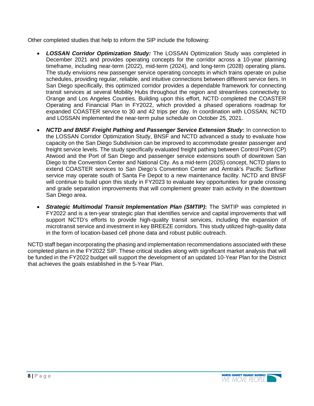Other completed studies that help to inform the SIP include the following:

- *LOSSAN Corridor Optimization Study:* The LOSSAN Optimization Study was completed in December 2021 and provides operating concepts for the corridor across a 10-year planning timeframe, including near-term (2022), mid-term (2024), and long-term (2028) operating plans. The study envisions new passenger service operating concepts in which trains operate on pulse schedules, providing regular, reliable, and intuitive connections between different service tiers. In San Diego specifically, this optimized corridor provides a dependable framework for connecting transit services at several Mobility Hubs throughout the region and streamlines connectivity to Orange and Los Angeles Counties. Building upon this effort, NCTD completed the COASTER Operating and Financial Plan in FY2022, which provided a phased operations roadmap for expanded COASTER service to 30 and 42 trips per day. In coordination with LOSSAN, NCTD and LOSSAN implemented the near-term pulse schedule on October 25, 2021.
- *NCTD and BNSF Freight Pathing and Passenger Service Extension Study***:** In connection to the LOSSAN Corridor Optimization Study, BNSF and NCTD advanced a study to evaluate how capacity on the San Diego Subdivision can be improved to accommodate greater passenger and freight service levels. The study specifically evaluated freight pathing between Control Point (CP) Atwood and the Port of San Diego and passenger service extensions south of downtown San Diego to the Convention Center and National City. As a mid-term (2025) concept, NCTD plans to extend COASTER services to San Diego's Convention Center and Amtrak's Pacific Surfliner service may operate south of Santa Fe Depot to a new maintenance facility. NCTD and BNSF will continue to build upon this study in FY2023 to evaluate key opportunities for grade crossing and grade separation improvements that will complement greater train activity in the downtown San Diego area.
- *Strategic Multimodal Transit Implementation Plan (SMTIP)***:** The SMTIP was completed in FY2022 and is a ten-year strategic plan that identifies service and capital improvements that will support NCTD's efforts to provide high-quality transit services, including the expansion of microtransit service and investment in key BREEZE corridors. This study utilized high-quality data in the form of location-based cell phone data and robust public outreach.

NCTD staff began incorporating the phasing and implementation recommendations associated with these completed plans in the FY2022 SIP. These critical studies along with significant market analysis that will be funded in the FY2022 budget will support the development of an updated 10-Year Plan for the District that achieves the goals established in the 5-Year Plan.

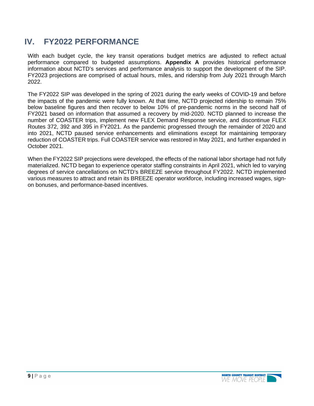# **IV. FY2022 PERFORMANCE**

With each budget cycle, the key transit operations budget metrics are adjusted to reflect actual performance compared to budgeted assumptions. **Appendix A** provides historical performance information about NCTD's services and performance analysis to support the development of the SIP. FY2023 projections are comprised of actual hours, miles, and ridership from July 2021 through March 2022.

The FY2022 SIP was developed in the spring of 2021 during the early weeks of COVID-19 and before the impacts of the pandemic were fully known. At that time, NCTD projected ridership to remain 75% below baseline figures and then recover to below 10% of pre-pandemic norms in the second half of FY2021 based on information that assumed a recovery by mid-2020. NCTD planned to increase the number of COASTER trips, implement new FLEX Demand Response service, and discontinue FLEX Routes 372, 392 and 395 in FY2021. As the pandemic progressed through the remainder of 2020 and into 2021, NCTD paused service enhancements and eliminations except for maintaining temporary reduction of COASTER trips. Full COASTER service was restored in May 2021, and further expanded in October 2021.

When the FY2022 SIP projections were developed, the effects of the national labor shortage had not fully materialized. NCTD began to experience operator staffing constraints in April 2021, which led to varying degrees of service cancellations on NCTD's BREEZE service throughout FY2022. NCTD implemented various measures to attract and retain its BREEZE operator workforce, including increased wages, signon bonuses, and performance-based incentives.

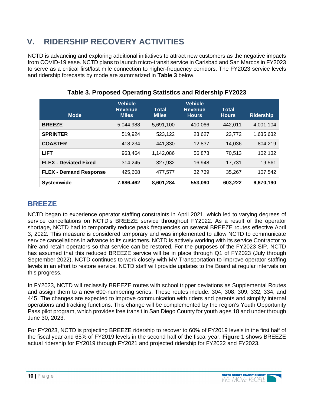# **V. RIDERSHIP RECOVERY ACTIVITIES**

NCTD is advancing and exploring additional initiatives to attract new customers as the negative impacts from COVID-19 ease. NCTD plans to launch micro-transit service in Carlsbad and San Marcos in FY2023 to serve as a critical first/last mile connection to higher-frequency corridors. The FY2023 service levels and ridership forecasts by mode are summarized in **Table 3** below.

| <b>Mode</b>                   | <b>Vehicle</b><br><b>Revenue</b><br><b>Miles</b> | <b>Total</b><br><b>Miles</b> | <b>Vehicle</b><br><b>Revenue</b><br><b>Hours</b> | Total<br><b>Hours</b> | <b>Ridership</b> |
|-------------------------------|--------------------------------------------------|------------------------------|--------------------------------------------------|-----------------------|------------------|
| <b>BREEZE</b>                 | 5,044,988                                        | 5,691,100                    | 410,066                                          | 442.011               | 4,001,104        |
| <b>SPRINTER</b>               | 519,924                                          | 523,122                      | 23,627                                           | 23,772                | 1,635,632        |
| <b>COASTER</b>                | 418,234                                          | 441,830                      | 12,837                                           | 14,036                | 804,219          |
| <b>LIFT</b>                   | 963,464                                          | 1,142,086                    | 56,873                                           | 70,513                | 102,132          |
| <b>FLEX - Deviated Fixed</b>  | 314,245                                          | 327,932                      | 16,948                                           | 17,731                | 19,561           |
| <b>FLEX - Demand Response</b> | 425,608                                          | 477,577                      | 32,739                                           | 35,267                | 107,542          |
| <b>Systemwide</b>             | 7,686,462                                        | 8,601,284                    | 553,090                                          | 603,222               | 6,670,190        |

**Table 3. Proposed Operating Statistics and Ridership FY2023** 

### **BREEZE**

NCTD began to experience operator staffing constraints in April 2021, which led to varying degrees of service cancellations on NCTD's BREEZE service throughout FY2022. As a result of the operator shortage, NCTD had to temporarily reduce peak frequencies on several BREEZE routes effective April 3, 2022. This measure is considered temporary and was implemented to allow NCTD to communicate service cancellations in advance to its customers. NCTD is actively working with its service Contractor to hire and retain operators so that service can be restored. For the purposes of the FY2023 SIP, NCTD has assumed that this reduced BREEZE service will be in place through Q1 of FY2023 (July through September 2022). NCTD continues to work closely with MV Transportation to improve operator staffing levels in an effort to restore service. NCTD staff will provide updates to the Board at regular intervals on this progress.

In FY2023, NCTD will reclassify BREEZE routes with school tripper deviations as Supplemental Routes and assign them to a new 600-numbering series. These routes include: 304, 308, 309, 332, 334, and 445. The changes are expected to improve communication with riders and parents and simplify internal operations and tracking functions. This change will be complemented by the region's Youth Opportunity Pass pilot program, which provides free transit in San Diego County for youth ages 18 and under through June 30, 2023.

For FY2023, NCTD is projecting BREEZE ridership to recover to 60% of FY2019 levels in the first half of the fiscal year and 65% of FY2019 levels in the second half of the fiscal year. **Figure 1** shows BREEZE actual ridership for FY2019 through FY2021 and projected ridership for FY2022 and FY2023.

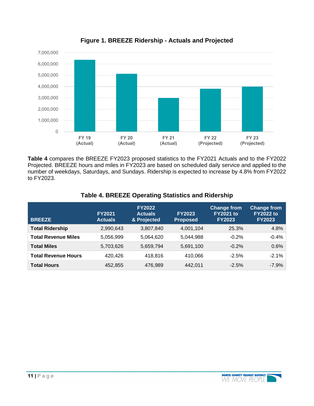

**Figure 1. BREEZE Ridership - Actuals and Projected** 

**Table 4** compares the BREEZE FY2023 proposed statistics to the FY2021 Actuals and to the FY2022 Projected. BREEZE hours and miles in FY2023 are based on scheduled daily service and applied to the number of weekdays, Saturdays, and Sundays. Ridership is expected to increase by 4.8% from FY2022 to FY2023.

| <b>BREEZE</b>              | <b>FY2021</b><br><b>Actuals</b> | <b>FY2022</b><br><b>Actuals</b><br>& Projected | <b>FY2023</b><br><b>Proposed</b> | <b>Change from</b><br><b>FY2021 to</b><br><b>FY2023</b> | <b>Change from</b><br><b>FY2022 to</b><br><b>FY2023</b> |
|----------------------------|---------------------------------|------------------------------------------------|----------------------------------|---------------------------------------------------------|---------------------------------------------------------|
| <b>Total Ridership</b>     | 2,990,643                       | 3,807,840                                      | 4,001,104                        | 25.3%                                                   | 4.8%                                                    |
| <b>Total Revenue Miles</b> | 5,056,999                       | 5,064,620                                      | 5,044,988                        | $-0.2%$                                                 | $-0.4%$                                                 |
| <b>Total Miles</b>         | 5,703,626                       | 5,659,794                                      | 5,691,100                        | $-0.2%$                                                 | 0.6%                                                    |
| <b>Total Revenue Hours</b> | 420.426                         | 418,816                                        | 410.066                          | $-2.5%$                                                 | $-2.1%$                                                 |
| <b>Total Hours</b>         | 452,855                         | 476,989                                        | 442,011                          | $-2.5%$                                                 | $-7.9%$                                                 |

#### **Table 4. BREEZE Operating Statistics and Ridership**

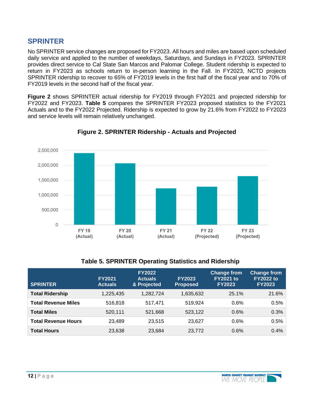### **SPRINTER**

No SPRINTER service changes are proposed for FY2023. All hours and miles are based upon scheduled daily service and applied to the number of weekdays, Saturdays, and Sundays in FY2023. SPRINTER provides direct service to Cal State San Marcos and Palomar College. Student ridership is expected to return in FY2023 as schools return to in-person learning in the Fall. In FY2023, NCTD projects SPRINTER ridership to recover to 65% of FY2019 levels in the first half of the fiscal year and to 70% of FY2019 levels in the second half of the fiscal year.

**Figure 2** shows SPRINTER actual ridership for FY2019 through FY2021 and projected ridership for FY2022 and FY2023. **Table 5** compares the SPRINTER FY2023 proposed statistics to the FY2021 Actuals and to the FY2022 Projected. Ridership is expected to grow by 21.6% from FY2022 to FY2023 and service levels will remain relatively unchanged.



#### **Figure 2. SPRINTER Ridership - Actuals and Projected**

#### **Table 5. SPRINTER Operating Statistics and Ridership**

| <b>SPRINTER</b>            | <b>FY2021</b><br><b>Actuals</b> | <b>FY2022</b><br><b>Actuals</b><br>& Projected | <b>FY2023</b><br><b>Proposed</b> | <b>Change from</b><br><b>FY2021 to</b><br><b>FY2023</b> | <b>Change from</b><br><b>FY2022 to</b><br><b>FY2023</b> |
|----------------------------|---------------------------------|------------------------------------------------|----------------------------------|---------------------------------------------------------|---------------------------------------------------------|
| <b>Total Ridership</b>     | 1,225,435                       | 1,282,724                                      | 1,635,632                        | 25.1%                                                   | 21.6%                                                   |
| <b>Total Revenue Miles</b> | 516,818                         | 517.471                                        | 519.924                          | 0.6%                                                    | 0.5%                                                    |
| <b>Total Miles</b>         | 520,111                         | 521,668                                        | 523,122                          | 0.6%                                                    | 0.3%                                                    |
| <b>Total Revenue Hours</b> | 23.489                          | 23,515                                         | 23,627                           | 0.6%                                                    | 0.5%                                                    |
| <b>Total Hours</b>         | 23,638                          | 23,684                                         | 23,772                           | 0.6%                                                    | 0.4%                                                    |

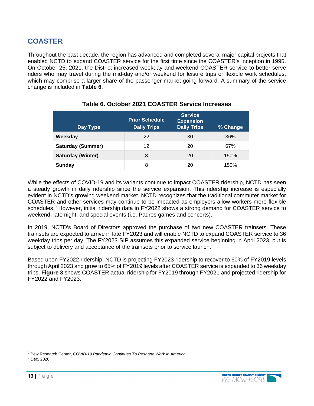### **COASTER**

Throughout the past decade, the region has advanced and completed several major capital projects that enabled NCTD to expand COASTER service for the first time since the COASTER's inception in 1995. On October 25, 2021, the District increased weekday and weekend COASTER service to better serve riders who may travel during the mid-day and/or weekend for leisure trips or flexible work schedules, which may comprise a larger share of the passenger market going forward. A summary of the service change is included in **Table 6**.

| Day Type                 | <b>Prior Schedule</b><br><b>Daily Trips</b> | <b>Service</b><br><b>Expansion</b><br><b>Daily Trips</b> | % Change |
|--------------------------|---------------------------------------------|----------------------------------------------------------|----------|
| Weekday                  | 22                                          | 30                                                       | 36%      |
| <b>Saturday (Summer)</b> | 12                                          | 20                                                       | 67%      |
| <b>Saturday (Winter)</b> | 8                                           | 20                                                       | 150%     |
| Sunday                   | 8                                           | 20                                                       | 150%     |

#### **Table 6. October 2021 COASTER Service Increases**

While the effects of COVID-19 and its variants continue to impact COASTER ridership, NCTD has seen a steady growth in daily ridership since the service expansion. This ridership increase is especially evident in NCTD's growing weekend market. NCTD recognizes that the traditional commuter market for COASTER and other services may continue to be impacted as employers allow workers more flexible schedules.<sup>9</sup> However, initial ridership data in FY2022 shows a strong demand for COASTER service to weekend, late night, and special events (i.e. Padres games and concerts).

In 2019, NCTD's Board of Directors approved the purchase of two new COASTER trainsets. These trainsets are expected to arrive in late FY2023 and will enable NCTD to expand COASTER service to 36 weekday trips per day. The FY2023 SIP assumes this expanded service beginning in April 2023, but is subject to delivery and acceptance of the trainsets prior to service launch.

Based upon FY2022 ridership, NCTD is projecting FY2023 ridership to recover to 60% of FY2019 levels through April 2023 and grow to 65% of FY2019 levels after COASTER service is expanded to 36 weekday trips. **Figure 3** shows COASTER actual ridership for FY2019 through FY2021 and projected ridership for FY2022 and FY2023.



<sup>9</sup> Pew Research Center, *COVID-19 Pandemic Continues To Reshape Work in America*.

<sup>9</sup> Dec. 2020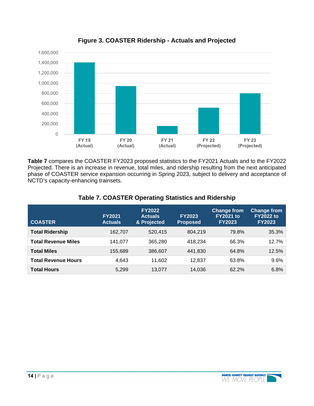

#### **Figure 3. COASTER Ridership - Actuals and Projected**

**Table 7** compares the COASTER FY2023 proposed statistics to the FY2021 Actuals and to the FY2022 Projected. There is an increase in revenue, total miles, and ridership resulting from the next anticipated phase of COASTER service expansion occurring in Spring 2023, subject to delivery and acceptance of NCTD's capacity-enhancing trainsets.

| <b>COASTER</b>             | <b>FY2021</b><br><b>Actuals</b> | <b>FY2022</b><br><b>Actuals</b><br>& Projected | <b>FY2023</b><br><b>Proposed</b> | <b>Change from</b><br><b>FY2021 to</b><br><b>FY2023</b> | <b>Change from</b><br><b>FY2022 to</b><br><b>FY2023</b> |
|----------------------------|---------------------------------|------------------------------------------------|----------------------------------|---------------------------------------------------------|---------------------------------------------------------|
| <b>Total Ridership</b>     | 162,707                         | 520,415                                        | 804.219                          | 79.8%                                                   | 35.3%                                                   |
| <b>Total Revenue Miles</b> | 141,077                         | 365,280                                        | 418,234                          | 66.3%                                                   | 12.7%                                                   |
| <b>Total Miles</b>         | 155,689                         | 386,607                                        | 441,830                          | 64.8%                                                   | 12.5%                                                   |
| <b>Total Revenue Hours</b> | 4,643                           | 11,602                                         | 12.837                           | 63.8%                                                   | 9.6%                                                    |
| <b>Total Hours</b>         | 5,299                           | 13,077                                         | 14,036                           | 62.2%                                                   | 6.8%                                                    |

#### **Table 7. COASTER Operating Statistics and Ridership**

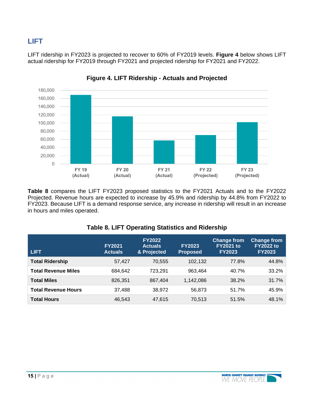### **LIFT**

LIFT ridership in FY2023 is projected to recover to 60% of FY2019 levels. **Figure 4** below shows LIFT actual ridership for FY2019 through FY2021 and projected ridership for FY2021 and FY2022.



**Figure 4. LIFT Ridership - Actuals and Projected** 

**Table 8** compares the LIFT FY2023 proposed statistics to the FY2021 Actuals and to the FY2022 Projected. Revenue hours are expected to increase by 45.9% and ridership by 44.8% from FY2022 to FY2023. Because LIFT is a demand response service, any increase in ridership will result in an increase in hours and miles operated.

| <b>LIFT</b>                | <b>FY2021</b><br><b>Actuals</b> | <b>FY2022</b><br><b>Actuals</b><br>& Projected | <b>FY2023</b><br><b>Proposed</b> | <b>Change from</b><br><b>FY2021 to</b><br><b>FY2023</b> | <b>Change from</b><br><b>FY2022 to</b><br><b>FY2023</b> |
|----------------------------|---------------------------------|------------------------------------------------|----------------------------------|---------------------------------------------------------|---------------------------------------------------------|
| <b>Total Ridership</b>     | 57,427                          | 70,555                                         | 102,132                          | 77.8%                                                   | 44.8%                                                   |
| <b>Total Revenue Miles</b> | 684,642                         | 723.291                                        | 963.464                          | 40.7%                                                   | 33.2%                                                   |
| <b>Total Miles</b>         | 826,351                         | 867,404                                        | 1,142,086                        | 38.2%                                                   | 31.7%                                                   |
| <b>Total Revenue Hours</b> | 37,488                          | 38,972                                         | 56,873                           | 51.7%                                                   | 45.9%                                                   |
| <b>Total Hours</b>         | 46,543                          | 47,615                                         | 70,513                           | 51.5%                                                   | 48.1%                                                   |

#### **Table 8. LIFT Operating Statistics and Ridership**

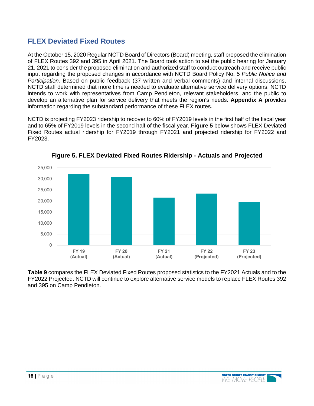### **FLEX Deviated Fixed Routes**

At the October 15, 2020 Regular NCTD Board of Directors (Board) meeting, staff proposed the elimination of FLEX Routes 392 and 395 in April 2021. The Board took action to set the public hearing for January 21, 2021 to consider the proposed elimination and authorized staff to conduct outreach and receive public input regarding the proposed changes in accordance with NCTD Board Policy No. 5 *Public Notice and Participation.* Based on public feedback (37 written and verbal comments) and internal discussions, NCTD staff determined that more time is needed to evaluate alternative service delivery options. NCTD intends to work with representatives from Camp Pendleton, relevant stakeholders, and the public to develop an alternative plan for service delivery that meets the region's needs. **Appendix A** provides information regarding the substandard performance of these FLEX routes.

NCTD is projecting FY2023 ridership to recover to 60% of FY2019 levels in the first half of the fiscal year and to 65% of FY2019 levels in the second half of the fiscal year. **Figure 5** below shows FLEX Deviated Fixed Routes actual ridership for FY2019 through FY2021 and projected ridership for FY2022 and FY2023.



**Figure 5. FLEX Deviated Fixed Routes Ridership - Actuals and Projected** 

**Table 9** compares the FLEX Deviated Fixed Routes proposed statistics to the FY2021 Actuals and to the FY2022 Projected. NCTD will continue to explore alternative service models to replace FLEX Routes 392 and 395 on Camp Pendleton.

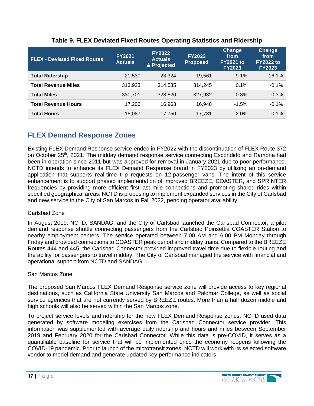| <b>FLEX - Deviated Fixed Routes</b> | <b>FY2021</b><br><b>Actuals</b> | <b>FY2022</b><br><b>Actuals</b><br>& Projected | <b>FY2023</b><br><b>Proposed</b> | Change<br>from<br><b>FY2021 to</b><br><b>FY2023</b> | <b>Change</b><br>from<br><b>FY2022 to</b><br><b>FY2023</b> |
|-------------------------------------|---------------------------------|------------------------------------------------|----------------------------------|-----------------------------------------------------|------------------------------------------------------------|
| <b>Total Ridership</b>              | 21,530                          | 23,324                                         | 19.561                           | $-9.1\%$                                            | $-16.1%$                                                   |
| <b>Total Revenue Miles</b>          | 313,923                         | 314,535                                        | 314.245                          | 0.1%                                                | $-0.1%$                                                    |
| <b>Total Miles</b>                  | 330,701                         | 328,820                                        | 327.932                          | $-0.8%$                                             | $-0.3%$                                                    |
| <b>Total Revenue Hours</b>          | 17,206                          | 16.963                                         | 16.948                           | $-1.5%$                                             | $-0.1%$                                                    |
| <b>Total Hours</b>                  | 18,087                          | 17,750                                         | 17,731                           | $-2.0\%$                                            | $-0.1%$                                                    |

#### **Table 9. FLEX Deviated Fixed Routes Operating Statistics and Ridership**

### **FLEX Demand Response Zones**

Existing FLEX Demand Response service ended in FY2022 with the discontinuation of FLEX Route 372 on October 25<sup>th</sup>, 2021. The midday demand response service connecting Escondido and Ramona had been in operation since 2011 but was approved for removal in January 2021 due to poor performance. NCTD intends to enhance its FLEX Demand Response brand in FY2023 by utilizing an on-demand application that supports real-time trip requests on 12-passenger vans. The intent of this service enhancement is to support phased implementation of improved BREEZE, COASTER, and SPRINTER frequencies by providing more efficient first-last mile connections and promoting shared rides within specified geographical areas. NCTD is proposing to implement expanded services in the City of Carlsbad and new service in the City of San Marcos in Fall 2022, pending operator availability.

#### Carlsbad Zone

In August 2019, NCTD, SANDAG, and the City of Carlsbad launched the Carlsbad Connector, a pilot demand response shuttle connecting passengers from the Carlsbad Poinsettia COASTER Station to nearby employment centers. The service operated between 7:00 AM and 6:00 PM Monday through Friday and provided connections to COASTER peak period and midday trains. Compared to the BREEZE Routes 444 and 445, the Carlsbad Connector provided improved travel time due to flexible routing and the ability for passengers to travel midday. The City of Carlsbad managed the service with financial and operational support from NCTD and SANDAG.

#### San Marcos Zone

The proposed San Marcos FLEX Demand Response service zone will provide access to key regional destinations, such as California State University San Marcos and Palomar College, as well as social service agencies that are not currently served by BREEZE routes. More than a half dozen middle and high schools will also be served within the San Marcos zone.

To project service levels and ridership for the new FLEX Demand Response zones, NCTD used data generated by software modeling exercises from the Carlsbad Connector service provider. This information was supplemented with average daily ridership and hours and miles between September 2019 and February 2020 for the Carlsbad Connector. While this data is pre-COVID, it serves as a quantifiable baseline for service that will be implemented once the economy reopens following the COVID-19 pandemic. Prior to launch of the microtransit zones, NCTD will work with its selected software vendor to model demand and generate updated key performance indicators.

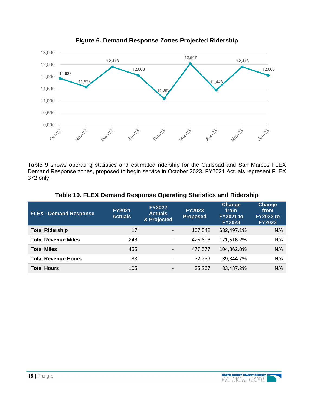

**Figure 6. Demand Response Zones Projected Ridership** 

**Table 9** shows operating statistics and estimated ridership for the Carlsbad and San Marcos FLEX Demand Response zones, proposed to begin service in October 2023. FY2021 Actuals represent FLEX 372 only.

| <b>FLEX - Demand Response</b> | <b>FY2021</b><br><b>Actuals</b> | <b>FY2022</b><br><b>Actuals</b><br>& Projected | <b>FY2023</b><br><b>Proposed</b> | Change<br>from<br><b>FY2021 to</b><br><b>FY2023</b> | Change<br>from<br><b>FY2022 to</b><br><b>FY2023</b> |
|-------------------------------|---------------------------------|------------------------------------------------|----------------------------------|-----------------------------------------------------|-----------------------------------------------------|
| <b>Total Ridership</b>        | 17                              | $\overline{\phantom{a}}$                       | 107,542                          | 632,497.1%                                          | N/A                                                 |
| <b>Total Revenue Miles</b>    | 248                             | ۰.                                             | 425.608                          | 171.516.2%                                          | N/A                                                 |
| <b>Total Miles</b>            | 455                             | $\blacksquare$                                 | 477,577                          | 104,862.0%                                          | N/A                                                 |
| <b>Total Revenue Hours</b>    | 83                              | $\blacksquare$                                 | 32.739                           | 39.344.7%                                           | N/A                                                 |
| <b>Total Hours</b>            | 105                             | $\blacksquare$                                 | 35,267                           | 33,487.2%                                           | N/A                                                 |

#### **Table 10. FLEX Demand Response Operating Statistics and Ridership**

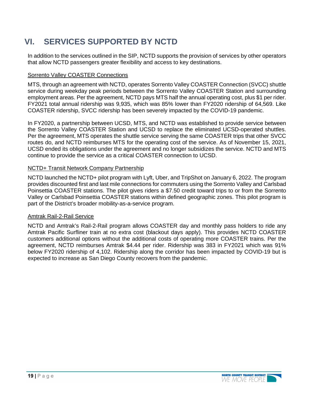# **VI. SERVICES SUPPORTED BY NCTD**

In addition to the services outlined in the SIP, NCTD supports the provision of services by other operators that allow NCTD passengers greater flexibility and access to key destinations.

#### Sorrento Valley COASTER Connections

MTS, through an agreement with NCTD, operates Sorrento Valley COASTER Connection (SVCC) shuttle service during weekday peak periods between the Sorrento Valley COASTER Station and surrounding employment areas. Per the agreement, NCTD pays MTS half the annual operating cost, plus \$1 per rider. FY2021 total annual ridership was 9,935, which was 85% lower than FY2020 ridership of 64,569. Like COASTER ridership, SVCC ridership has been severely impacted by the COVID-19 pandemic.

In FY2020, a partnership between UCSD, MTS, and NCTD was established to provide service between the Sorrento Valley COASTER Station and UCSD to replace the eliminated UCSD-operated shuttles. Per the agreement, MTS operates the shuttle service serving the same COASTER trips that other SVCC routes do, and NCTD reimburses MTS for the operating cost of the service. As of November 15, 2021, UCSD ended its obligations under the agreement and no longer subsidizes the service. NCTD and MTS continue to provide the service as a critical COASTER connection to UCSD.

#### NCTD+ Transit Network Company Partnership

NCTD launched the NCTD+ pilot program with Lyft, Uber, and TripShot on January 6, 2022. The program provides discounted first and last mile connections for commuters using the Sorrento Valley and Carlsbad Poinsettia COASTER stations. The pilot gives riders a \$7.50 credit toward trips to or from the Sorrento Valley or Carlsbad Poinsettia COASTER stations within defined geographic zones. This pilot program is part of the District's broader mobility-as-a-service program.

#### Amtrak Rail-2-Rail Service

NCTD and Amtrak's Rail-2-Rail program allows COASTER day and monthly pass holders to ride any Amtrak Pacific Surfliner train at no extra cost (blackout days apply). This provides NCTD COASTER customers additional options without the additional costs of operating more COASTER trains. Per the agreement, NCTD reimburses Amtrak \$4.44 per rider. Ridership was 383 in FY2021 which was 91% below FY2020 ridership of 4,102. Ridership along the corridor has been impacted by COVID-19 but is expected to increase as San Diego County recovers from the pandemic.

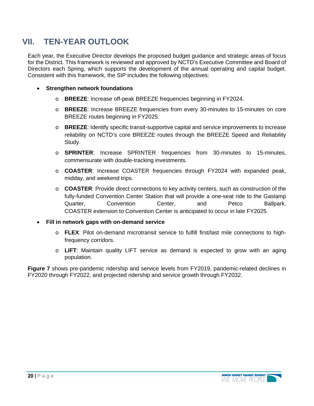### **VII. TEN-YEAR OUTLOOK**

Each year, the Executive Director develops the proposed budget guidance and strategic areas of focus for the District. This framework is reviewed and approved by NCTD's Executive Committee and Board of Directors each Spring, which supports the development of the annual operating and capital budget. Consistent with this framework, the SIP includes the following objectives:

- **Strengthen network foundations** 
	- o **BREEZE**: Increase off-peak BREEZE frequencies beginning in FY2024.
	- o **BREEZE**: Increase BREEZE frequencies from every 30-minutes to 15-minutes on core BREEZE routes beginning in FY2025.
	- o **BREEZE**: Identify specific transit-supportive capital and service improvements to increase reliability on NCTD's core BREEZE routes through the BREEZE Speed and Reliability Study.
	- o **SPRINTER**: Increase SPRINTER frequencies from 30-minutes to 15-minutes, commensurate with double-tracking investments.
	- o **COASTER**: Increase COASTER frequencies through FY2024 with expanded peak, midday, and weekend trips.
	- o **COASTER**: Provide direct connections to key activity centers, such as construction of the fully-funded Convention Center Station that will provide a one-seat ride to the Gaslamp Quarter, Convention Center, and Petco Ballpark. COASTER extension to Convention Center is anticipated to occur in late FY2025.

#### **Fill in network gaps with on-demand service**

- o **FLEX**: Pilot on-demand microtransit service to fulfill first/last mile connections to highfrequency corridors.
- o **LIFT**: Maintain quality LIFT service as demand is expected to grow with an aging population.

**Figure 7** shows pre-pandemic ridership and service levels from FY2019, pandemic-related declines in FY2020 through FY2022, and projected ridership and service growth through FY2032.

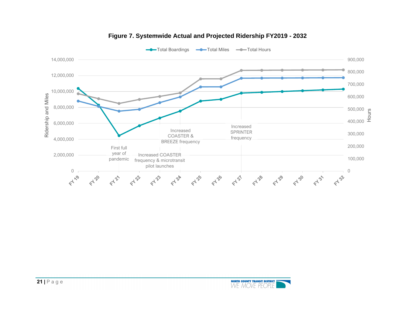

#### **Figure 7. Systemwide Actual and Projected Ridership FY2019 - 2032**

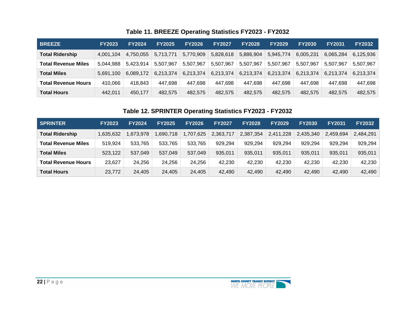### **Table 11. BREEZE Operating Statistics FY2023 - FY2032**

| <b>BREEZE</b>              | <b>FY2023</b> | <b>FY2024</b> | <b>FY2025</b> | <b>FY2026</b> | <b>FY2027</b> | <b>FY2028</b> | <b>FY2029</b> | <b>FY2030</b> | <b>FY2031</b> | <b>FY2032</b> |
|----------------------------|---------------|---------------|---------------|---------------|---------------|---------------|---------------|---------------|---------------|---------------|
| <b>Total Ridership</b>     | 4,001,104     | 4.750.055     | 5,713,771     | 5,770,909     | 5,828,618     | 5,886,904     | 5,945,774     | 6,005,231     | 6,065,284     | 6,125,936     |
| <b>Total Revenue Miles</b> | 5.044.988     | 5.423.914     | 5,507,967     | 5,507,967     | 5,507,967     | 5,507,967     | 5,507,967     | 5,507,967     | 5,507,967     | 5,507,967     |
| <b>Total Miles</b>         | 5.691.100     | 6.089.172     | 6.213.374     | 6,213,374     | 6,213,374     | 6,213,374     | 6,213,374     | 6,213,374     | 6,213,374     | 6,213,374     |
| <b>Total Revenue Hours</b> | 410,066       | 418,843       | 447,698       | 447.698       | 447.698       | 447,698       | 447,698       | 447,698       | 447,698       | 447,698       |
| <b>Total Hours</b>         | 442.011       | 450.177       | 482.575       | 482.575       | 482.575       | 482,575       | 482,575       | 482.575       | 482,575       | 482,575       |

#### **Table 12. SPRINTER Operating Statistics FY2023 - FY2032**

| <b>SPRINTER</b>        | <b>FY2023</b> | <b>FY2024</b> | <b>FY2025</b> | <b>FY2026</b> | <b>FY2027</b> | <b>FY2028</b> | <b>FY2029</b> | <b>FY2030</b> | <b>FY2031</b> | <b>FY2032</b> |
|------------------------|---------------|---------------|---------------|---------------|---------------|---------------|---------------|---------------|---------------|---------------|
| <b>Total Ridership</b> | 1,635,632     | 673,978       | 1,690,718     | ,707,625      | 2,363,717     | 2,387,354     | 2,411,228     | 2,435,340     | 2,459,694     | 2,484,291     |
| Total Revenue Miles    | 519,924       | 533,765       | 533,765       | 533.765       | 929,294       | 929,294       | 929,294       | 929.294       | 929,294       | 929,294       |
| <b>Total Miles</b>     | 523,122       | 537,049       | 537.049       | 537.049       | 935,011       | 935,011       | 935,011       | 935,011       | 935,011       | 935,011       |
| Total Revenue Hours    | 23,627        | 24,256        | 24,256        | 24,256        | 42,230        | 42,230        | 42,230        | 42,230        | 42,230        | 42,230        |
| <b>Total Hours</b>     | 23,772        | 24,405        | 24,405        | 24,405        | 42,490        | 42,490        | 42,490        | 42,490        | 42.490        | 42.490        |

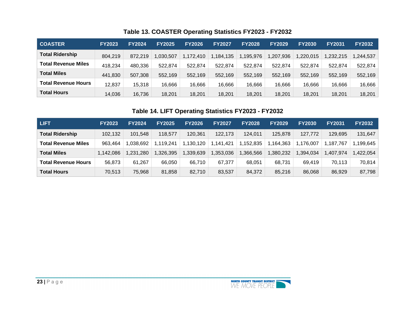|  | Table 13. COASTER Operating Statistics FY2023 - FY2032 |  |
|--|--------------------------------------------------------|--|
|--|--------------------------------------------------------|--|

| COASTER                    | <b>FY2023</b> | <b>FY2024</b> | <b>FY2025</b> | <b>FY2026</b> | <b>FY2027</b> | <b>FY2028</b> | <b>FY2029</b> | <b>FY2030</b> | <b>FY2031</b> | <b>FY2032</b> |
|----------------------------|---------------|---------------|---------------|---------------|---------------|---------------|---------------|---------------|---------------|---------------|
| <b>Total Ridership</b>     | 804,219       | 872,219       | 1,030,507     | 1,172,410     | 1,184,135     | 1,195,976     | 1,207,936     | 1,220,015     | ,232,215      | 1,244,537     |
| <b>Total Revenue Miles</b> | 418,234       | 480,336       | 522,874       | 522,874       | 522,874       | 522,874       | 522,874       | 522.874       | 522,874       | 522,874       |
| <b>Total Miles</b>         | 441,830       | 507,308       | 552,169       | 552.169       | 552,169       | 552,169       | 552,169       | 552,169       | 552,169       | 552,169       |
| <b>Total Revenue Hours</b> | 12,837        | 15,318        | 16,666        | 16,666        | 16,666        | 16,666        | 16,666        | 16,666        | 16,666        | 16,666        |
| <b>Total Hours</b>         | 14,036        | 16,736        | 18,201        | 18,201        | 18,201        | 18,201        | 18,201        | 18,201        | 18,201        | 18,201        |

### **Table 14. LIFT Operating Statistics FY2023 - FY2032**

| <b>LIFT</b>                | <b>FY2023</b> | <b>FY2024</b> | <b>FY2025</b> | <b>FY2026</b> | <b>FY2027</b> | <b>FY2028</b> | <b>FY2029</b> | <b>FY2030</b> | <b>FY2031</b> | <b>FY2032</b> |
|----------------------------|---------------|---------------|---------------|---------------|---------------|---------------|---------------|---------------|---------------|---------------|
| <b>Total Ridership</b>     | 102,132       | 101,548       | 118.577       | 120.361       | 122,173       | 124.011       | 125,878       | 127,772       | 129,695       | 131,647       |
| Total Revenue Miles        | 963,464       | 038,692       | 1,119,241     | 1,130,120     | .141.421      | 1,152,835     | ,164,363      | .176.007      | .187.767      | 199,645, ا    |
| <b>Total Miles</b>         | 1,142,086     | 1,231,280     | 1,326,395     | ,339,639      | ,353,036      | ,366,566      | 1,380,232     | ,394,034      | ,407,974      | ,422,054      |
| <b>Total Revenue Hours</b> | 56,873        | 61,267        | 66.050        | 66,710        | 67.377        | 68,051        | 68,731        | 69.419        | 70.113        | 70,814        |
| <b>Total Hours</b>         | 70,513        | 75,968        | 81,858        | 82,710        | 83,537        | 84,372        | 85,216        | 86,068        | 86,929        | 87,798        |